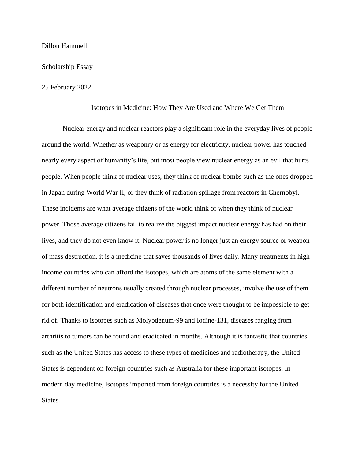## Dillon Hammell

## Scholarship Essay

## 25 February 2022

## Isotopes in Medicine: How They Are Used and Where We Get Them

Nuclear energy and nuclear reactors play a significant role in the everyday lives of people around the world. Whether as weaponry or as energy for electricity, nuclear power has touched nearly every aspect of humanity's life, but most people view nuclear energy as an evil that hurts people. When people think of nuclear uses, they think of nuclear bombs such as the ones dropped in Japan during World War II, or they think of radiation spillage from reactors in Chernobyl. These incidents are what average citizens of the world think of when they think of nuclear power. Those average citizens fail to realize the biggest impact nuclear energy has had on their lives, and they do not even know it. Nuclear power is no longer just an energy source or weapon of mass destruction, it is a medicine that saves thousands of lives daily. Many treatments in high income countries who can afford the isotopes, which are atoms of the same element with a different number of neutrons usually created through nuclear processes, involve the use of them for both identification and eradication of diseases that once were thought to be impossible to get rid of. Thanks to isotopes such as Molybdenum-99 and Iodine-131, diseases ranging from arthritis to tumors can be found and eradicated in months. Although it is fantastic that countries such as the United States has access to these types of medicines and radiotherapy, the United States is dependent on foreign countries such as Australia for these important isotopes. In modern day medicine, isotopes imported from foreign countries is a necessity for the United States.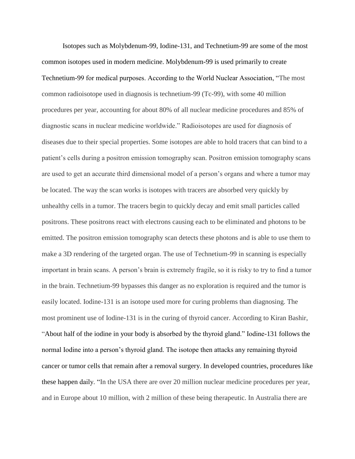Isotopes such as Molybdenum-99, Iodine-131, and Technetium-99 are some of the most common isotopes used in modern medicine. Molybdenum-99 is used primarily to create Technetium-99 for medical purposes. According to the World Nuclear Association, "The most common radioisotope used in diagnosis is technetium-99 (Tc-99), with some 40 million procedures per year, accounting for about 80% of all nuclear medicine procedures and 85% of diagnostic scans in nuclear medicine worldwide." Radioisotopes are used for diagnosis of diseases due to their special properties. Some isotopes are able to hold tracers that can bind to a patient's cells during a positron emission tomography scan. Positron emission tomography scans are used to get an accurate third dimensional model of a person's organs and where a tumor may be located. The way the scan works is isotopes with tracers are absorbed very quickly by unhealthy cells in a tumor. The tracers begin to quickly decay and emit small particles called positrons. These positrons react with electrons causing each to be eliminated and photons to be emitted. The positron emission tomography scan detects these photons and is able to use them to make a 3D rendering of the targeted organ. The use of Technetium-99 in scanning is especially important in brain scans. A person's brain is extremely fragile, so it is risky to try to find a tumor in the brain. Technetium-99 bypasses this danger as no exploration is required and the tumor is easily located. Iodine-131 is an isotope used more for curing problems than diagnosing. The most prominent use of Iodine-131 is in the curing of thyroid cancer. According to Kiran Bashir, "About half of the iodine in your body is absorbed by the thyroid gland." Iodine-131 follows the normal Iodine into a person's thyroid gland. The isotope then attacks any remaining thyroid cancer or tumor cells that remain after a removal surgery. In developed countries, procedures like these happen daily. "In the USA there are over 20 million nuclear medicine procedures per year, and in Europe about 10 million, with 2 million of these being therapeutic. In Australia there are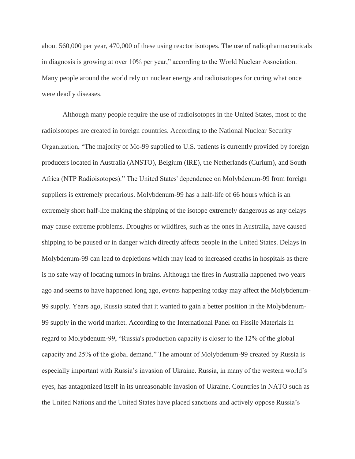about 560,000 per year, 470,000 of these using reactor isotopes. The use of radiopharmaceuticals in diagnosis is growing at over 10% per year," according to the World Nuclear Association. Many people around the world rely on nuclear energy and radioisotopes for curing what once were deadly diseases.

Although many people require the use of radioisotopes in the United States, most of the radioisotopes are created in foreign countries. According to the National Nuclear Security Organization, "The majority of Mo-99 supplied to U.S. patients is currently provided by foreign producers located in Australia (ANSTO), Belgium (IRE), the Netherlands (Curium), and South Africa (NTP Radioisotopes)." The United States' dependence on Molybdenum-99 from foreign suppliers is extremely precarious. Molybdenum-99 has a half-life of 66 hours which is an extremely short half-life making the shipping of the isotope extremely dangerous as any delays may cause extreme problems. Droughts or wildfires, such as the ones in Australia, have caused shipping to be paused or in danger which directly affects people in the United States. Delays in Molybdenum-99 can lead to depletions which may lead to increased deaths in hospitals as there is no safe way of locating tumors in brains. Although the fires in Australia happened two years ago and seems to have happened long ago, events happening today may affect the Molybdenum-99 supply. Years ago, Russia stated that it wanted to gain a better position in the Molybdenum-99 supply in the world market. According to the International Panel on Fissile Materials in regard to Molybdenum-99, "Russia's production capacity is closer to the 12% of the global capacity and 25% of the global demand." The amount of Molybdenum-99 created by Russia is especially important with Russia's invasion of Ukraine. Russia, in many of the western world's eyes, has antagonized itself in its unreasonable invasion of Ukraine. Countries in NATO such as the United Nations and the United States have placed sanctions and actively oppose Russia's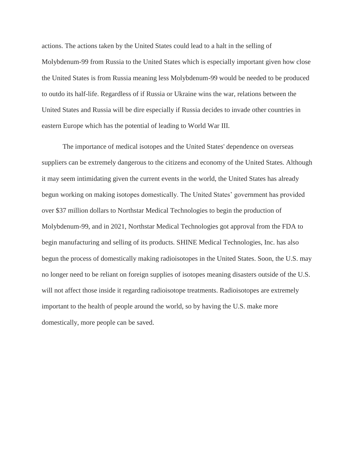actions. The actions taken by the United States could lead to a halt in the selling of Molybdenum-99 from Russia to the United States which is especially important given how close the United States is from Russia meaning less Molybdenum-99 would be needed to be produced to outdo its half-life. Regardless of if Russia or Ukraine wins the war, relations between the United States and Russia will be dire especially if Russia decides to invade other countries in eastern Europe which has the potential of leading to World War III.

The importance of medical isotopes and the United States' dependence on overseas suppliers can be extremely dangerous to the citizens and economy of the United States. Although it may seem intimidating given the current events in the world, the United States has already begun working on making isotopes domestically. The United States' government has provided over \$37 million dollars to Northstar Medical Technologies to begin the production of Molybdenum-99, and in 2021, Northstar Medical Technologies got approval from the FDA to begin manufacturing and selling of its products. SHINE Medical Technologies, Inc. has also begun the process of domestically making radioisotopes in the United States. Soon, the U.S. may no longer need to be reliant on foreign supplies of isotopes meaning disasters outside of the U.S. will not affect those inside it regarding radioisotope treatments. Radioisotopes are extremely important to the health of people around the world, so by having the U.S. make more domestically, more people can be saved.